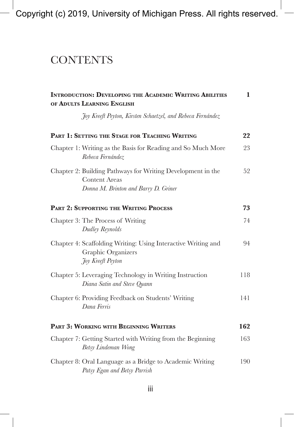Copyright (c) 2019, University of Michigan Press. All rights reserved.

## **CONTENTS**

| <b>INTRODUCTION: DEVELOPING THE ACADEMIC WRITING ABILITIES</b><br>OF ADULTS LEARNING ENGLISH |                                                                                                                             |     |
|----------------------------------------------------------------------------------------------|-----------------------------------------------------------------------------------------------------------------------------|-----|
|                                                                                              | Joy Kreeft Peyton, Kirsten Schaetzel, and Rebeca Fernández                                                                  |     |
|                                                                                              | PART 1: SETTING THE STAGE FOR TEACHING WRITING                                                                              | 22  |
|                                                                                              | Chapter 1: Writing as the Basis for Reading and So Much More<br>Rebeca Fernández                                            | 23  |
|                                                                                              | Chapter 2: Building Pathways for Writing Development in the<br><b>Content Areas</b><br>Donna M. Brinton and Barry D. Griner | 52  |
|                                                                                              | PART 2: SUPPORTING THE WRITING PROCESS                                                                                      | 73  |
|                                                                                              | Chapter 3: The Process of Writing<br>Dudley Reynolds                                                                        | 74  |
|                                                                                              | Chapter 4: Scaffolding Writing: Using Interactive Writing and<br>Graphic Organizers<br><i>Foy Kreeft Peyton</i>             | 94  |
|                                                                                              | Chapter 5: Leveraging Technology in Writing Instruction<br>Diana Satin and Steve Quann                                      | 118 |
|                                                                                              | Chapter 6: Providing Feedback on Students' Writing<br>Dana Ferris                                                           | 141 |
|                                                                                              | PART 3: WORKING WITH BEGINNING WRITERS                                                                                      | 162 |
|                                                                                              | Chapter 7: Getting Started with Writing from the Beginning<br>Betsy Lindeman Wong                                           | 163 |
|                                                                                              | Chapter 8: Oral Language as a Bridge to Academic Writing<br>Patsy Egan and Betsy Parrish                                    | 190 |